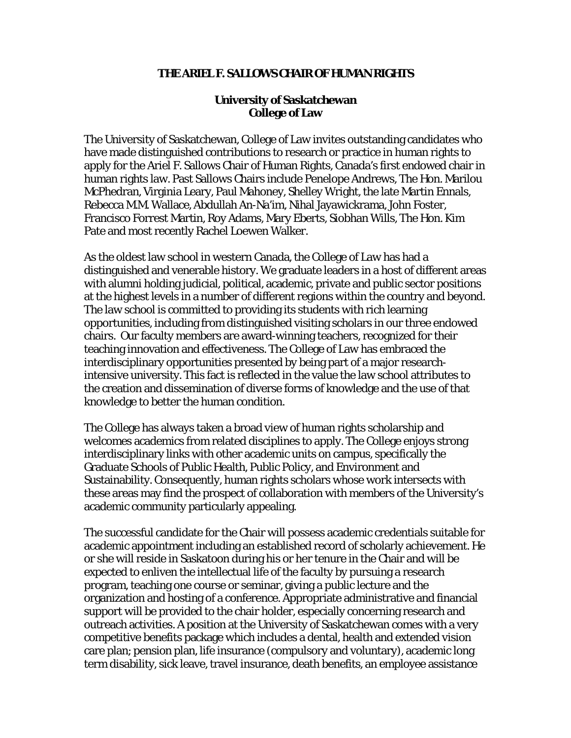## **THE ARIEL F. SALLOWS CHAIR OF HUMAN RIGHTS**

## **University of Saskatchewan College of Law**

The University of Saskatchewan, College of Law invites outstanding candidates who have made distinguished contributions to research or practice in human rights to apply for the Ariel F. Sallows Chair of Human Rights, Canada's first endowed chair in human rights law. Past Sallows Chairs include Penelope Andrews, The Hon. Marilou McPhedran, Virginia Leary, Paul Mahoney, Shelley Wright, the late Martin Ennals, Rebecca M.M. Wallace, Abdullah An-Na'im, Nihal Jayawickrama, John Foster, Francisco Forrest Martin, Roy Adams, Mary Eberts, Siobhan Wills, The Hon. Kim Pate and most recently Rachel Loewen Walker.

As the oldest law school in western Canada, the College of Law has had a distinguished and venerable history. We graduate leaders in a host of different areas with alumni holding judicial, political, academic, private and public sector positions at the highest levels in a number of different regions within the country and beyond. The law school is committed to providing its students with rich learning opportunities, including from distinguished visiting scholars in our three endowed chairs. Our faculty members are award-winning teachers, recognized for their teaching innovation and effectiveness. The College of Law has embraced the interdisciplinary opportunities presented by being part of a major researchintensive university. This fact is reflected in the value the law school attributes to the creation and dissemination of diverse forms of knowledge and the use of that knowledge to better the human condition.

The College has always taken a broad view of human rights scholarship and welcomes academics from related disciplines to apply. The College enjoys strong interdisciplinary links with other academic units on campus, specifically the Graduate Schools of Public Health, Public Policy, and Environment and Sustainability. Consequently, human rights scholars whose work intersects with these areas may find the prospect of collaboration with members of the University's academic community particularly appealing.

The successful candidate for the Chair will possess academic credentials suitable for academic appointment including an established record of scholarly achievement. He or she will reside in Saskatoon during his or her tenure in the Chair and will be expected to enliven the intellectual life of the faculty by pursuing a research program, teaching one course or seminar, giving a public lecture and the organization and hosting of a conference. Appropriate administrative and financial support will be provided to the chair holder, especially concerning research and outreach activities. A position at the University of Saskatchewan comes with a very competitive benefits package which includes a dental, health and extended vision care plan; pension plan, life insurance (compulsory and voluntary), academic long term disability, sick leave, travel insurance, death benefits, an employee assistance